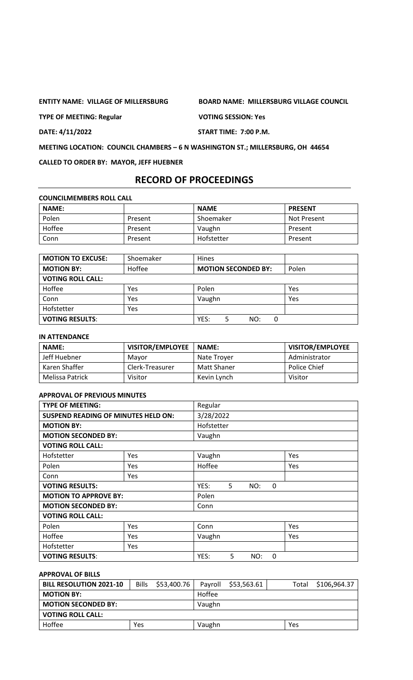**ENTITY NAME: VILLAGE OF MILLERSBURG BOARD NAME: MILLERSBURG VILLAGE COUNCIL**

**TYPE OF MEETING: Regular VOTING SESSION: Yes**

**DATE: 4/11/2022 START TIME: 7:00 P.M.**

**MEETING LOCATION: COUNCIL CHAMBERS – 6 N WASHINGTON ST.; MILLERSBURG, OH 44654**

**CALLED TO ORDER BY: MAYOR, JEFF HUEBNER**

# **RECORD OF PROCEEDINGS**

**COUNCILMEMBERS ROLL CALL**

| <b>NAME:</b> |         | <b>NAME</b> | <b>PRESENT</b>     |
|--------------|---------|-------------|--------------------|
| Polen        | Present | Shoemaker   | <b>Not Present</b> |
| Hoffee       | Present | Vaughn      | Present            |
| Conn         | Present | Hofstetter  | Present            |

| <b>MOTION TO EXCUSE:</b> | Shoemaker | <b>Hines</b>               |       |
|--------------------------|-----------|----------------------------|-------|
| <b>MOTION BY:</b>        | Hoffee    | <b>MOTION SECONDED BY:</b> | Polen |
| <b>VOTING ROLL CALL:</b> |           |                            |       |
| Hoffee                   | Yes       | Polen                      | Yes   |
| Conn                     | Yes       | Vaughn                     | Yes   |
| Hofstetter               | Yes       |                            |       |
| <b>VOTING RESULTS:</b>   |           | YES:<br>NO:<br>0<br>5      |       |

# **IN ATTENDANCE**

| <b>NAME:</b>    | <b>VISITOR/EMPLOYEE</b> | <b>NAME:</b> | <b>VISITOR/EMPLOYEE</b> |
|-----------------|-------------------------|--------------|-------------------------|
| Jeff Huebner    | Mavor                   | Nate Trover  | Administrator           |
| Karen Shaffer   | Clerk-Treasurer         | Matt Shaner  | Police Chief            |
| Melissa Patrick | Visitor                 | Kevin Lynch  | Visitor                 |

# **APPROVAL OF PREVIOUS MINUTES**

| <b>TYPE OF MEETING:</b>                    |            | Regular    |   |     |   |     |
|--------------------------------------------|------------|------------|---|-----|---|-----|
| <b>SUSPEND READING OF MINUTES HELD ON:</b> |            | 3/28/2022  |   |     |   |     |
| <b>MOTION BY:</b>                          |            | Hofstetter |   |     |   |     |
| <b>MOTION SECONDED BY:</b>                 |            | Vaughn     |   |     |   |     |
| <b>VOTING ROLL CALL:</b>                   |            |            |   |     |   |     |
| Hofstetter                                 | <b>Yes</b> | Vaughn     |   |     |   | Yes |
| Polen                                      | Yes        | Hoffee     |   |     |   | Yes |
| Conn                                       | Yes        |            |   |     |   |     |
| <b>VOTING RESULTS:</b>                     |            | YES:       | 5 | NO: | 0 |     |
| <b>MOTION TO APPROVE BY:</b>               |            | Polen      |   |     |   |     |
| <b>MOTION SECONDED BY:</b>                 |            | Conn       |   |     |   |     |
| <b>VOTING ROLL CALL:</b>                   |            |            |   |     |   |     |
| Polen                                      | Yes        | Conn       |   |     |   | Yes |
| Hoffee                                     | Yes        | Vaughn     |   |     |   | Yes |
| Hofstetter                                 | Yes        |            |   |     |   |     |
| <b>VOTING RESULTS:</b>                     |            | YES:       | 5 | NO: | 0 |     |

# **APPROVAL OF BILLS**

| <b>BILL RESOLUTION 2021-10</b> | <b>Bills</b> | \$53,400.76 | Payroll | \$53,563.61 | Total | \$106,964.37 |
|--------------------------------|--------------|-------------|---------|-------------|-------|--------------|
| <b>MOTION BY:</b>              |              |             | Hoffee  |             |       |              |
| <b>MOTION SECONDED BY:</b>     |              |             | Vaughn  |             |       |              |
| <b>VOTING ROLL CALL:</b>       |              |             |         |             |       |              |
| Hoffee                         | Yes          |             | Vaughn  |             | Yes   |              |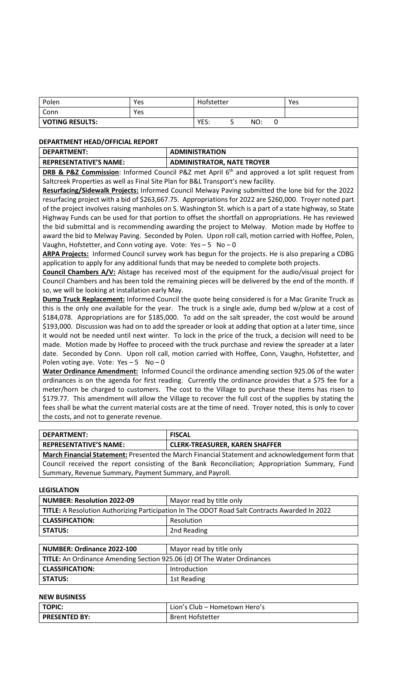| Polen                  | Yes | Hofstetter |    |     |   | Yes |
|------------------------|-----|------------|----|-----|---|-----|
| Conn                   | Yes |            |    |     |   |     |
| <b>VOTING RESULTS:</b> |     | YES:       | ــ | NO: | U |     |

### **DEPARTMENT HEAD/OFFICIAL REPORT**

| <b>DEPARTMENT:</b>     | <b>ADMINISTRATION</b>             |
|------------------------|-----------------------------------|
| REPRESENTATIVE'S NAME: | <b>ADMINISTRATOR, NATE TROYER</b> |

**DRB & P&Z Commission**: Informed Council P&Z met April 6<sup>th</sup> and approved a lot split request from Saltcreek Properties as well as Final Site Plan for B&L Transport's new facility.

**Resurfacing/Sidewalk Projects:** Informed Council Melway Paving submitted the lone bid for the 2022 resurfacing project with a bid of \$263,667.75. Appropriations for 2022 are \$260,000. Troyer noted part of the project involves raising manholes on S. Washington St. which is a part of a state highway, so State Highway Funds can be used for that portion to offset the shortfall on appropriations. He has reviewed the bid submittal and is recommending awarding the project to Melway. Motion made by Hoffee to award the bid to Melway Paving. Seconded by Polen. Upon roll call, motion carried with Hoffee, Polen, Vaughn, Hofstetter, and Conn voting aye. Vote:  $Yes - 5 No - 0$ 

**ARPA Projects:** Informed Council survey work has begun for the projects. He is also preparing a CDBG application to apply for any additional funds that may be needed to complete both projects.

**Council Chambers A/V:** Alstage has received most of the equipment for the audio/visual project for Council Chambers and has been told the remaining pieces will be delivered by the end of the month. If so, we will be looking at installation early May.

**Dump Truck Replacement:** Informed Council the quote being considered is for a Mac Granite Truck as this is the only one available for the year. The truck is a single axle, dump bed w/plow at a cost of \$184,078. Appropriations are for \$185,000. To add on the salt spreader, the cost would be around \$193,000. Discussion was had on to add the spreader or look at adding that option at a later time, since it would not be needed until next winter. To lock in the price of the truck, a decision will need to be made. Motion made by Hoffee to proceed with the truck purchase and review the spreader at a later date. Seconded by Conn. Upon roll call, motion carried with Hoffee, Conn, Vaughn, Hofstetter, and Polen voting aye. Vote:  $Yes - 5$  No - 0

**Water Ordinance Amendment:** Informed Council the ordinance amending section 925.06 of the water ordinances is on the agenda for first reading. Currently the ordinance provides that a \$75 fee for a meter/horn be charged to customers. The cost to the Village to purchase these items has risen to \$179.77. This amendment will allow the Village to recover the full cost of the supplies by stating the fees shall be what the current material costs are at the time of need. Troyer noted, this is only to cover the costs, and not to generate revenue.

| <b>DEPARTMENT:</b><br><b>FISCAL</b>                                                              |  |  |  |
|--------------------------------------------------------------------------------------------------|--|--|--|
| <b>REPRESENTATIVE'S NAME:</b><br><b>CLERK-TREASURER, KAREN SHAFFER</b>                           |  |  |  |
| March Financial Statement: Presented the March Financial Statement and acknowledgement form that |  |  |  |
| Council received the report consisting of the Bank Reconciliation; Appropriation Summary, Fund   |  |  |  |
| Summary, Revenue Summary, Payment Summary, and Payroll.                                          |  |  |  |

#### **LEGISLATION**

| <b>NUMBER: Resolution 2022-09</b>                                                             | Mayor read by title only |  |
|-----------------------------------------------------------------------------------------------|--------------------------|--|
| TITLE: A Resolution Authorizing Participation In The ODOT Road Salt Contracts Awarded In 2022 |                          |  |
| <b>CLASSIFICATION:</b>                                                                        | Resolution               |  |
| <b>STATUS:</b>                                                                                | 2nd Reading              |  |

| NUMBER: Ordinance 2022-100                                              | Mayor read by title only |  |
|-------------------------------------------------------------------------|--------------------------|--|
| TITLE: An Ordinance Amending Section 925.06 (d) Of The Water Ordinances |                          |  |
| <b>CLASSIFICATION:</b>                                                  | <b>Introduction</b>      |  |
| l STATUS:                                                               | 1st Reading              |  |

# **NEW BUSINESS**

| TOPIC:        | Lion's Club - Hometown Hero's |
|---------------|-------------------------------|
| PRESENTED BY: | <b>Brent Hofstetter</b>       |